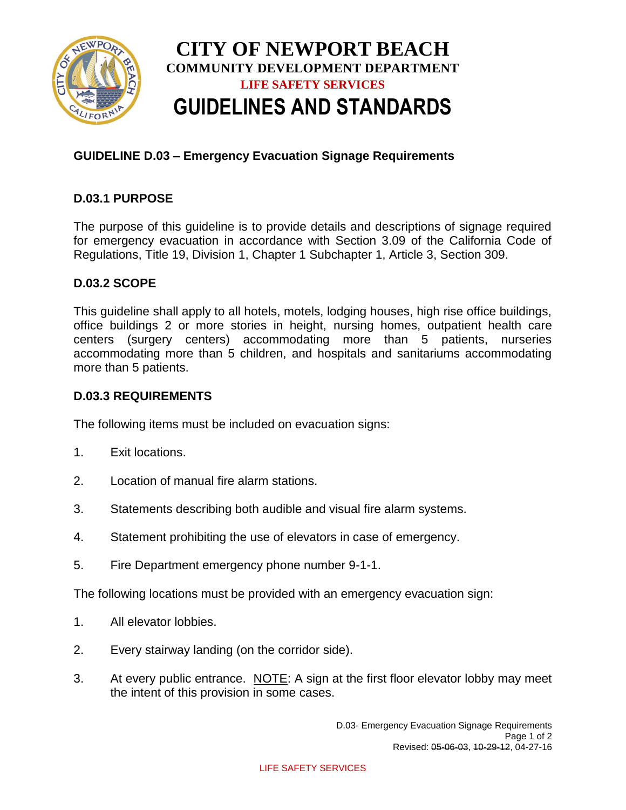

## **GUIDELINE D.03 – Emergency Evacuation Signage Requirements**

## **D.03.1 PURPOSE**

The purpose of this guideline is to provide details and descriptions of signage required for emergency evacuation in accordance with Section 3.09 of the California Code of Regulations, Title 19, Division 1, Chapter 1 Subchapter 1, Article 3, Section 309.

## **D.03.2 SCOPE**

This guideline shall apply to all hotels, motels, lodging houses, high rise office buildings, office buildings 2 or more stories in height, nursing homes, outpatient health care centers (surgery centers) accommodating more than 5 patients, nurseries accommodating more than 5 children, and hospitals and sanitariums accommodating more than 5 patients.

## **D.03.3 REQUIREMENTS**

The following items must be included on evacuation signs:

- 1. Exit locations.
- 2. Location of manual fire alarm stations.
- 3. Statements describing both audible and visual fire alarm systems.
- 4. Statement prohibiting the use of elevators in case of emergency.
- 5. Fire Department emergency phone number 9-1-1.

The following locations must be provided with an emergency evacuation sign:

- 1. All elevator lobbies.
- 2. Every stairway landing (on the corridor side).
- 3. At every public entrance. NOTE: A sign at the first floor elevator lobby may meet the intent of this provision in some cases.

D.03- Emergency Evacuation Signage Requirements Page 1 of 2 Revised: 05-06-03, 10-29-12, 04-27-16